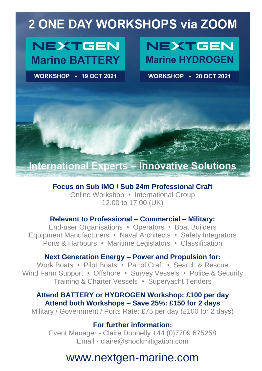# **2 ONE DAY WORKSHOPS via ZOOM**

# **NEXTGEN Marine BATTERY**

WORKSHOP • 19 OCT 2021

# **NEXTGEN Marine HYDROGEN**

**WORKSHOP • 20 OCT 2021** 

### **International Experts - Innovative Solutions**

### **Focus on Sub IMO / Sub 24m Professional Craft**

Online Workshop • International Group 12.00 to 17.00 (UK)

### **Relevant to Professional – Commercial – Military:**

End-user Organisations • Operators • Boat Builders Equipment Manufacturers • Naval Architects • Safety Integrators Ports & Harbours • Maritime Legislators • Classification

### **Next Generation Energy – Power and Propulsion for:**

Work Boats • Pilot Boats • Patrol Craft • Search & Rescue Wind Farm Support • Offshore • Survey Vessels • Police & Security Training & Charter Vessels • Superyacht Tenders

### **Attend BATTERY or HYDROGEN Workshop: £100 per day Attend both Workshops – Save 25%: £150 for 2 days**

Military / Government / Ports Rate: £75 per day (£100 for 2 days)

### **For further information:**

Event Manager - Claire Donnelly +44 (0)7709 675258 Email - claire@shockmitigation.com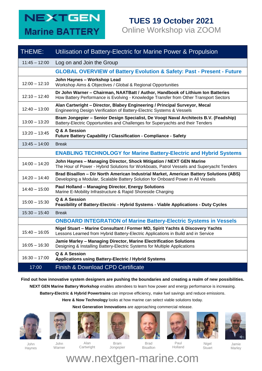## **NEXTGEN Marine BATTERY**

### **TUES 19 October 2021** Online Workshop via ZOOM

| THEME:          | Utilisation of Battery-Electric for Marine Power & Propulsion                                                                                                               |
|-----------------|-----------------------------------------------------------------------------------------------------------------------------------------------------------------------------|
| $11:45 - 12:00$ | Log on and Join the Group                                                                                                                                                   |
|                 | <b>GLOBAL OVERVIEW of Battery Evolution &amp; Safety: Past - Present - Future</b>                                                                                           |
| $12:00 - 12:10$ | John Haynes - Workshop Lead<br>Workshop Aims & Objectives / Global & Regional Opportunities                                                                                 |
| $12:10 - 12:40$ | Dr John Warner - Chairman, NAATBatt / Author, Handbook of Lithium Ion Batteries<br>How Battery Performance is Evolving - Knowledge Transfer from Other Transport Sectors    |
| $12:40 - 13:00$ | Alan Cartwright - Director, Blabey Engineering / Principal Surveyor, Mecal<br>Engineering Design Verification of Battery-Electric Systems & Vessels                         |
| $13:00 - 13:20$ | Bram Jongepier - Senior Design Specialist, De Voogt Naval Architects B.V. (Feadship)<br>Battery-Electric Opportunities and Challenges for Superyachts and their Tenders     |
| $13:20 - 13:45$ | Q & A Session<br>Future Battery Capability / Classification - Compliance - Safety                                                                                           |
| $13:45 - 14:00$ | <b>Break</b>                                                                                                                                                                |
|                 | <b>ENABLING TECHNOLOGY for Marine Battery-Electric and Hybrid Systems</b>                                                                                                   |
| $14:00 - 14:20$ | John Haynes - Managing Director, Shock Mitigation / NEXT GEN Marine<br>The Hour of Power - Hybrid Solutions for Workboats, Patrol Vessels and Superyacht Tenders            |
| $14:20 - 14:40$ | Brad Bisaillon - Dir North American Industrial Market, American Battery Solutions (ABS)<br>Developing a Modular, Scalable Battery Solution for Onboard Power in All Vessels |
| $14:40 - 15:00$ | Paul Holland - Managing Director, Energy Solutions<br>Marine E-Mobility Infrastructure & Rapid Shoreside Charging                                                           |
| $15:00 - 15:30$ | Q & A Session<br>Feasibility of Battery-Electric - Hybrid Systems - Viable Applications - Duty Cycles                                                                       |
| $15:30 - 15:40$ | <b>Break</b>                                                                                                                                                                |
|                 | <b>ONBOARD INTEGRATION of Marine Battery-Electric Systems in Vessels</b>                                                                                                    |
| $15:40 - 16:05$ | Nigel Stuart - Marine Consultant / Former MD, Spirit Yachts & Discovery Yachts<br>Lessons Learned from Hybrid Battery-Electric Applications in Build and in Service         |
| $16:05 - 16:30$ | Jamie Marley - Managing Director, Marine Electrification Solutions<br>Designing & Installing Battery-Electric Systems for Multiple Applications                             |
| $16:30 - 17:00$ | Q & A Session<br>Applications using Battery-Electric / Hybrid Systems                                                                                                       |
| 17:00           | <b>Finish &amp; Download CPD Certificate</b>                                                                                                                                |

#### **Find out how innovative system designers are pushing the boundaries and creating a realm of new possibilities.**

**NEXT GEN Marine Battery Workshop** enables attendees to learn how power and energy performance is increasing.

**Battery-Electric & Hybrid Powertrains** can improve efficiency, make fuel savings and reduce emissions.

**Here & Now Technology** looks at how marine can select viable solutions today.

**Next Generation Innovations** are approaching commercial release.

















John Haynes

John Warner

Alan Cartwright

Bram Jongepier

Brad Bisaillon

Paul Holland

Nigel **Stuart** 

Jamie Marley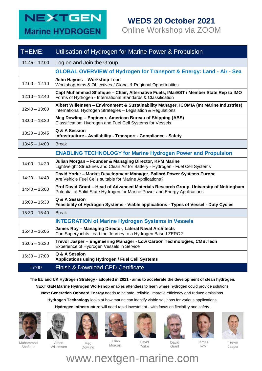## **NEXTGEN Marine HYDROGEN**

# **WEDS 20 October 2021**

Online Workshop via ZOOM

| THEME:          | Utilisation of Hydrogen for Marine Power & Propulsion                                                                                                                |
|-----------------|----------------------------------------------------------------------------------------------------------------------------------------------------------------------|
| $11:45 - 12:00$ | Log on and Join the Group                                                                                                                                            |
|                 | <b>GLOBAL OVERVIEW of Hydrogen for Transport &amp; Energy: Land - Air - Sea</b>                                                                                      |
| $12:00 - 12:10$ | John Haynes - Workshop Lead<br>Workshop Aims & Objectives / Global & Regional Opportunities                                                                          |
| $12:10 - 12:40$ | Capt Muhammad Shafique - Chair, Alternative Fuels, IMarEST / Member State Rep to IMO<br>Forms of Hydrogen - International Standards & Classification                 |
| $12:40 - 13:00$ | Albert Willemsen - Environment & Sustainability Manager, ICOMIA (Int Marine Industries)<br>International Hydrogen Strategies - Legislation & Regulations             |
| $13:00 - 13:20$ | Meg Dowling - Engineer, American Bureau of Shipping (ABS)<br>Classification: Hydrogen and Fuel Cell Systems for Vessels                                              |
| $13:20 - 13:45$ | Q & A Session<br>Infrastructure - Availability - Transport - Compliance - Safety                                                                                     |
| $13:45 - 14:00$ | <b>Break</b>                                                                                                                                                         |
|                 | <b>ENABLING TECHNOLOGY for Marine Hydrogen Power and Propulsion</b>                                                                                                  |
| $14:00 - 14:20$ | Julian Morgan - Founder & Managing Director, KPM Marine<br>Lightweight Structures and Clean Air for Battery - Hydrogen - Fuel Cell Systems                           |
| $14:20 - 14:40$ | David Yorke - Market Development Manager, Ballard Power Systems Europe<br>Are Vehicle Fuel Cells suitable for Marine Applications?                                   |
| $14:40 - 15:00$ | Prof David Grant - Head of Advanced Materials Research Group, University of Nottingham<br>Potential of Solid State Hydrogen for Marine Power and Energy Applications |
| $15:00 - 15:30$ | Q & A Session<br>Feasibility of Hydrogen Systems - Viable applications - Types of Vessel - Duty Cycles                                                               |
| $15:30 - 15:40$ | <b>Break</b>                                                                                                                                                         |
|                 | <b>INTEGRATION of Marine Hydrogen Systems in Vessels</b>                                                                                                             |
| $15:40 - 16:05$ | James Roy - Managing Director, Lateral Naval Architects<br>Can Superyachts Lead the Journey to a Hydrogen Based ZERO?                                                |
| $16:05 - 16:30$ | Trevor Jasper - Engineering Manager - Low Carbon Technologies, CMB.Tech<br>Experience of Hydrogen Vessels in Service                                                 |
| $16:30 - 17:00$ | Q & A Session<br>Applications using Hydrogen / Fuel Cell Systems                                                                                                     |
| 17:00           | <b>Finish &amp; Download CPD Certificate</b>                                                                                                                         |

**The EU and UK Hydrogen Strategy - adopted in 2021 - aims to accelerate the development of clean hydrogen. NEXT GEN Marine Hydrogen Workshop** enables attendees to learn where hydrogen could provide solutions. **Next Generation Onboard Energy** needs to be safe, reliable, improve efficiency and reduce emissions. **Hydrogen Technology** looks at how marine can identify viable solutions for various applications.

**Hydrogen Infrastructure** will need rapid investment - with focus on flexibility and safety.











Yorke





Roy



Muhammad Shafique

Albert Willemsen

Meg Dowling

Julian Morgan

David **Grant** 

Trevor Jasper